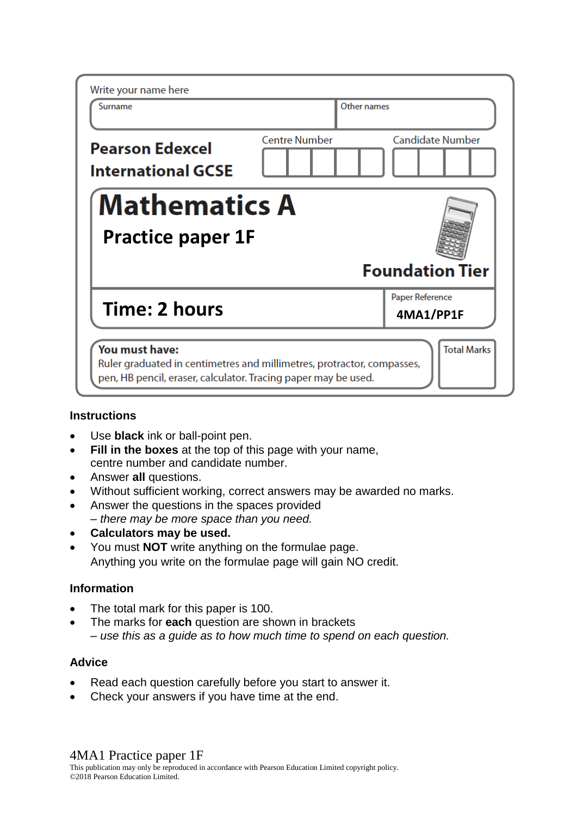| Surname                                             |                      | Other names |                              |  |  |  |  |
|-----------------------------------------------------|----------------------|-------------|------------------------------|--|--|--|--|
| <b>Pearson Edexcel</b><br><b>International GCSE</b> | <b>Centre Number</b> |             | <b>Candidate Number</b>      |  |  |  |  |
| <b>Mathematics A</b>                                |                      |             |                              |  |  |  |  |
| <b>Practice paper 1F</b>                            |                      |             |                              |  |  |  |  |
|                                                     |                      |             | <b>Foundation Tier</b>       |  |  |  |  |
| Time: 2 hours                                       |                      |             | Paper Reference<br>4MA1/PP1F |  |  |  |  |

# **Instructions**

- Use **black** ink or ball-point pen.
- **Fill in the boxes** at the top of this page with your name, centre number and candidate number.
- Answer **all** questions.
- Without sufficient working, correct answers may be awarded no marks.
- Answer the questions in the spaces provided *– there may be more space than you need.*
- **Calculators may be used.**
- You must **NOT** write anything on the formulae page. Anything you write on the formulae page will gain NO credit.

# **Information**

- The total mark for this paper is 100.
- The marks for **each** question are shown in brackets *– use this as a guide as to how much time to spend on each question.*

# **Advice**

- Read each question carefully before you start to answer it.
- Check your answers if you have time at the end.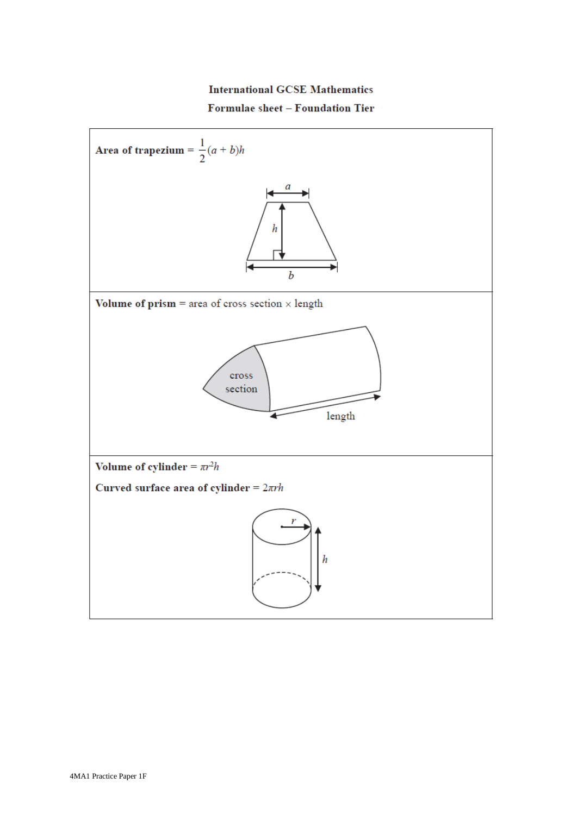# **International GCSE Mathematics** Formulae sheet - Foundation Tier

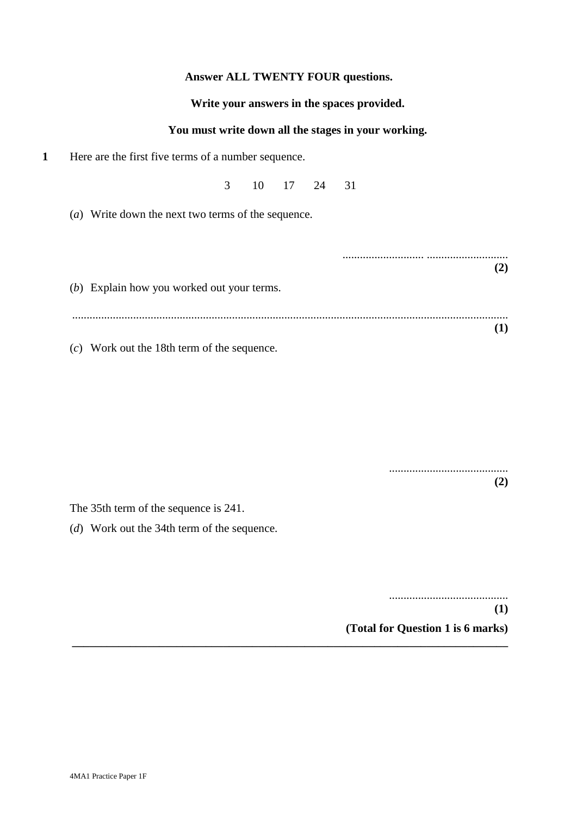## **Answer ALL TWENTY FOUR questions.**

#### **Write your answers in the spaces provided.**

#### **You must write down all the stages in your working.**

**1** Here are the first five terms of a number sequence.

3 10 17 24 31

(*a*) Write down the next two terms of the sequence.

|                                            | $\mathbf{2}$ |
|--------------------------------------------|--------------|
| (b) Explain how you worked out your terms. |              |
|                                            |              |
|                                            | [1]          |
|                                            |              |

(*c*) Work out the 18th term of the sequence.

......................................... **(2)**

The 35th term of the sequence is 241.

(*d*) Work out the 34th term of the sequence.

......................................... **(1) (Total for Question 1 is 6 marks) \_\_\_\_\_\_\_\_\_\_\_\_\_\_\_\_\_\_\_\_\_\_\_\_\_\_\_\_\_\_\_\_\_\_\_\_\_\_\_\_\_\_\_\_\_\_\_\_\_\_\_\_\_\_\_\_\_\_\_\_\_\_\_\_\_\_\_\_\_\_\_\_\_\_\_**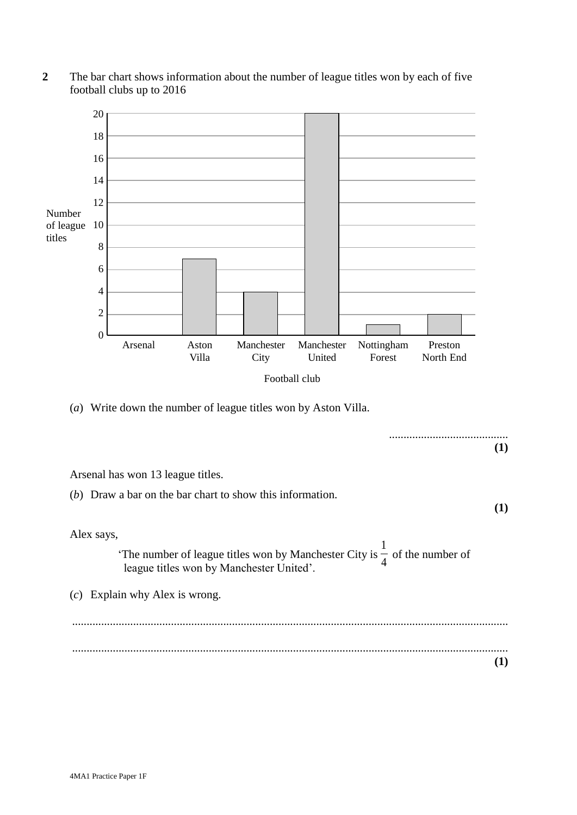

**2** The bar chart shows information about the number of league titles won by each of five football clubs up to 2016 football clubs up to 2016

(a) Write down the number of league titles won by Aston Villa. (*a*) Write down the number of league titles won by Aston Villa.

**THISAREA THE (1)** .........................................  $\mathcal{C}$  $\alpha$  says,  $\mathbf{r}$  $\overline{1}$ 'The number of league titles won by Manchester City is  $\frac{1}{4}$  of the number of league titles won by Manchester United'. (c) Explain why Alex is wrong. ................................................................................................................................................................................................................................................... ...................................................................................................................................................... **(1)** Arsenal has won 13 league titles. (*b*) Draw a bar on the bar chart to show this information. **(1)** Alex says, ...................................................................................................................................................... **(1)** 1 4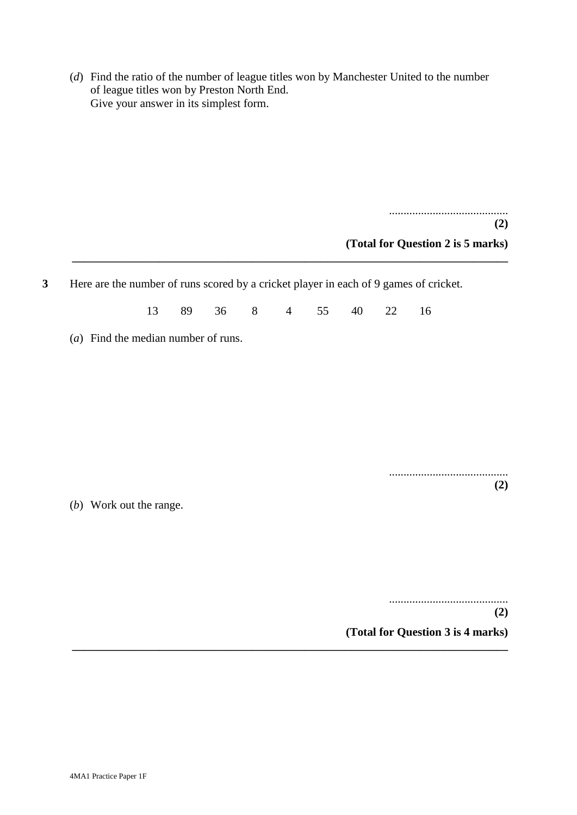(*d*) Find the ratio of the number of league titles won by Manchester United to the number of league titles won by Preston North End. Give your answer in its simplest form.

.........................................

**(2)**

**(Total for Question 2 is 5 marks)**

**3** Here are the number of runs scored by a cricket player in each of 9 games of cricket.

13 89 36 8 4 55 40 22 16

**\_\_\_\_\_\_\_\_\_\_\_\_\_\_\_\_\_\_\_\_\_\_\_\_\_\_\_\_\_\_\_\_\_\_\_\_\_\_\_\_\_\_\_\_\_\_\_\_\_\_\_\_\_\_\_\_\_\_\_\_\_\_\_\_\_\_\_\_\_\_\_\_\_\_\_**

(*a*) Find the median number of runs.

......................................... **(2)**

(*b*) Work out the range.

......................................... **(2) (Total for Question 3 is 4 marks) \_\_\_\_\_\_\_\_\_\_\_\_\_\_\_\_\_\_\_\_\_\_\_\_\_\_\_\_\_\_\_\_\_\_\_\_\_\_\_\_\_\_\_\_\_\_\_\_\_\_\_\_\_\_\_\_\_\_\_\_\_\_\_\_\_\_\_\_\_\_\_\_\_\_\_**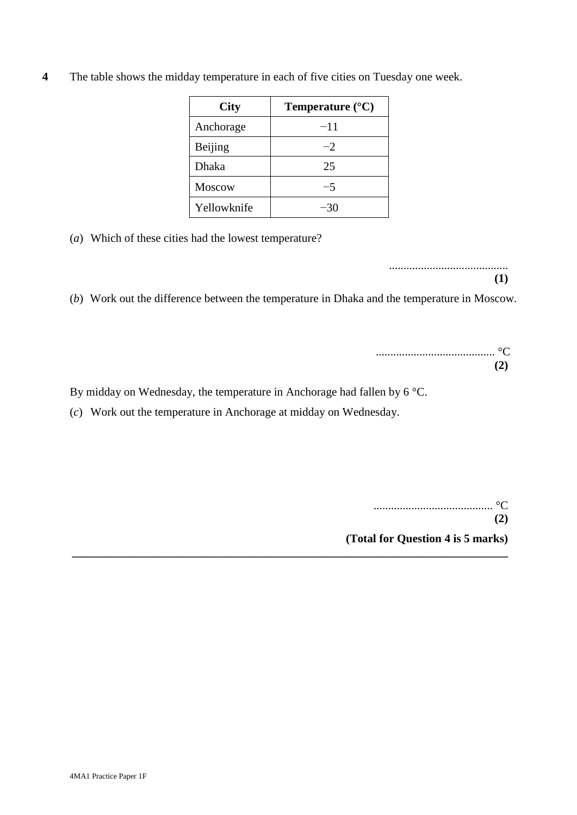| <b>City</b>   | Temperature $(^{\circ}C)$ |
|---------------|---------------------------|
| Anchorage     | $-11$                     |
| Beijing       | $-2$                      |
| Dhaka         | 25                        |
| <b>Moscow</b> | -5                        |
| Yellowknife   |                           |

**4** The table shows the midday temperature in each of five cities on Tuesday one week.

(*a*) Which of these cities had the lowest temperature?

.........................................

**(1)**

(*b*) Work out the difference between the temperature in Dhaka and the temperature in Moscow.

**\_\_\_\_\_\_\_\_\_\_\_\_\_\_\_\_\_\_\_\_\_\_\_\_\_\_\_\_\_\_\_\_\_\_\_\_\_\_\_\_\_\_\_\_\_\_\_\_\_\_\_\_\_\_\_\_\_\_\_\_\_\_\_\_\_\_\_\_\_\_\_\_\_\_\_**

|  |  |  |  |  |  |  |  |  |  |  |  | $\mathbf{r}$ |  |
|--|--|--|--|--|--|--|--|--|--|--|--|--------------|--|

By midday on Wednesday, the temperature in Anchorage had fallen by 6 °C.

(*c*) Work out the temperature in Anchorage at midday on Wednesday.

......................................... °C **(2)**

**(Total for Question 4 is 5 marks)**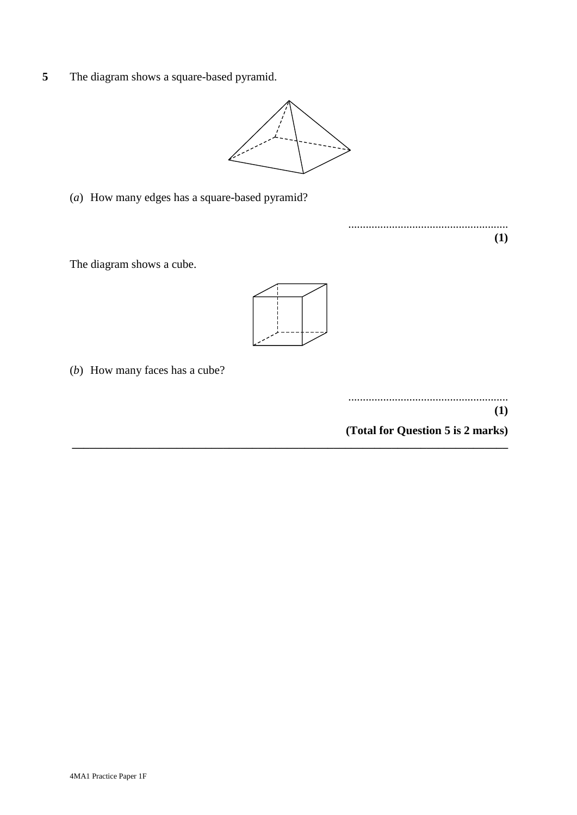**5** The diagram shows a square-based pyramid.



(a) How many edges has a square-based pyramid? (*a*) How many edges has a square-based pyramid? (a) How many edges has a square-based pyramid?

The diagram shows a cube. The diagram shows a cube. The diagram shows a cube.



**\_\_\_\_\_\_\_\_\_\_\_\_\_\_\_\_\_\_\_\_\_\_\_\_\_\_\_\_\_\_\_\_\_\_\_\_\_\_\_\_\_\_\_\_\_\_\_\_\_\_\_\_\_\_\_\_\_\_\_\_\_\_\_\_\_\_\_\_\_\_\_\_\_\_\_**

(b) How many faces has a cube? (b) How many faces has a cube? (*b*) How many faces has a cube?

**(1)** ....................................................... ....................................................... **(1) (1)**

....................................................... ....................................................... .......................................................

**(1) (1) (1)**

**(Total for Question 6 is 2 marks) (Total for Question 6 is 2 marks) (Total for Question 5 is 2 marks)**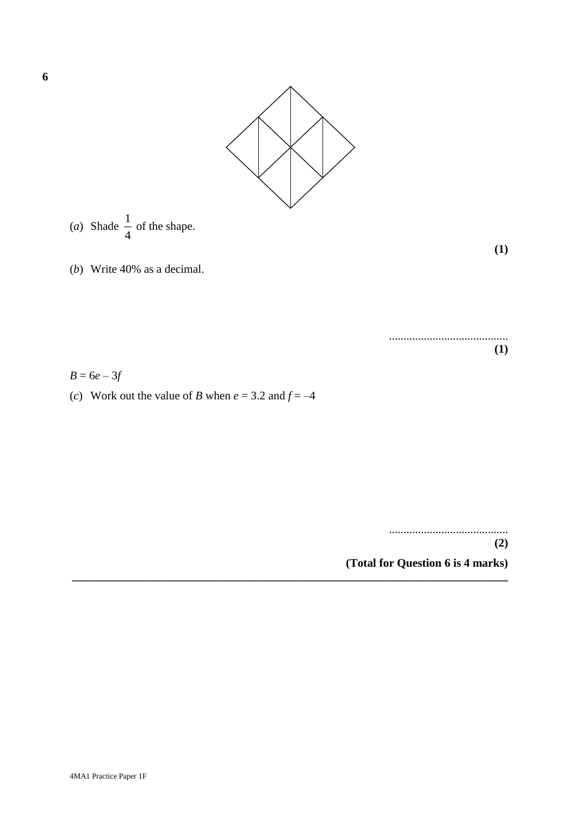

**\_\_\_\_\_\_\_\_\_\_\_\_\_\_\_\_\_\_\_\_\_\_\_\_\_\_\_\_\_\_\_\_\_\_\_\_\_\_\_\_\_\_\_\_\_\_\_\_\_\_\_\_\_\_\_\_\_\_\_\_\_\_\_\_\_\_\_\_\_\_\_\_\_\_\_**

(a) Shade 
$$
\frac{1}{4}
$$
 of the shape.

**(1) (1)**

(b) Write 40% as a decimal. (*b*) Write 40% as a decimal.

 $(1)$ .........................................

 $B = 6e - 3f$ 

(c) Work out the value of *B* when *e* = 3.2 and *f* = 4 (*c*) Work out the value of *B* when  $e = 3.2$  and  $f = -4$ 

> **(2)** ......................................... **(2)**

**(Total for Question 7 is 4 marks) (Total for Question 6 is 4 marks)**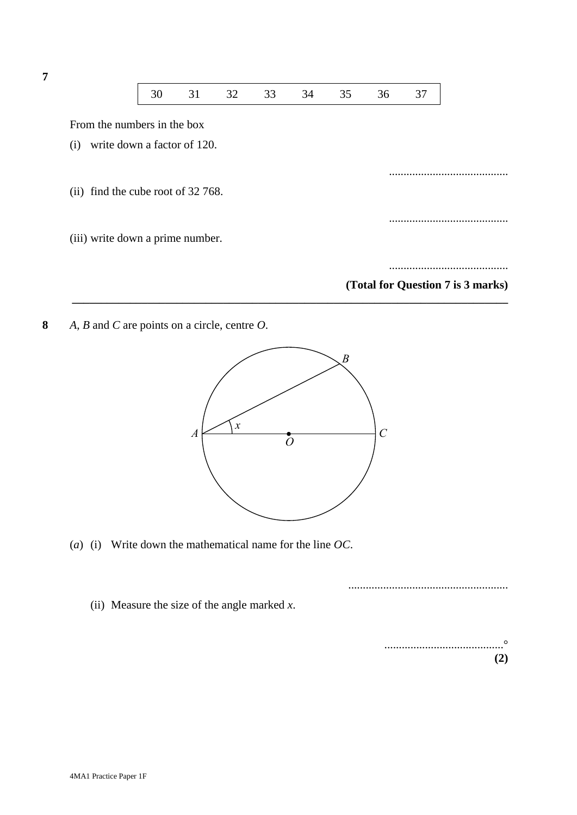

**8** *A*, *B* and *C* are points on a circle, centre *O*. **9** *A*, *B* and *C* are points on a circle, centre *O*.



**\_\_\_\_\_\_\_\_\_\_\_\_\_\_\_\_\_\_\_\_\_\_\_\_\_\_\_\_\_\_\_\_\_\_\_\_\_\_\_\_\_\_\_\_\_\_\_\_\_\_\_\_\_\_\_\_\_\_\_\_\_\_\_\_\_\_\_\_\_\_\_\_\_\_\_**

(a) (i) Write down the mathematical name for the line *OC*. (*a*) (i) Write down the mathematical name for the line *OC*.

....................................................... .......................................................

(ii) Measure the size of the angle marked *x*. (ii) Measure the size of the angle marked *x*.

**(2)** .........................................° **(2)**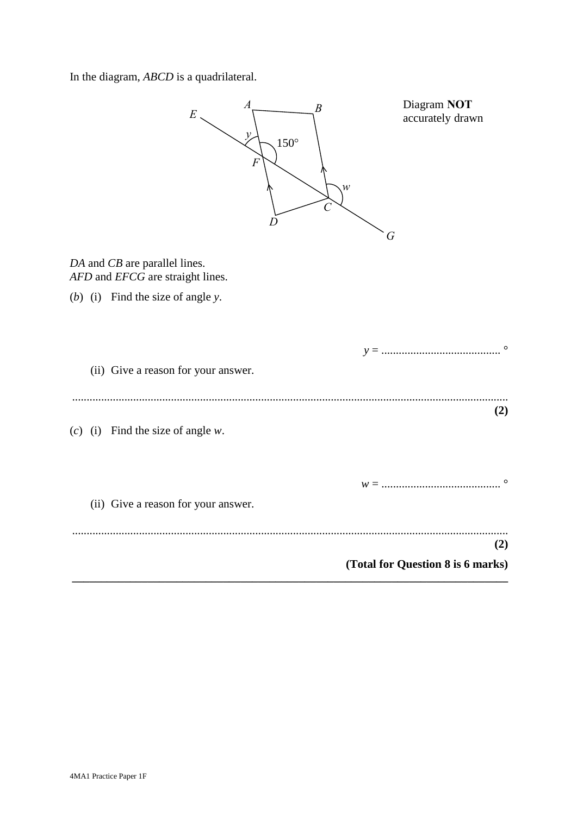In the diagram, *ABCD* is a quadrilateral. In the diagram, *ABCD* is a quadrilateral.

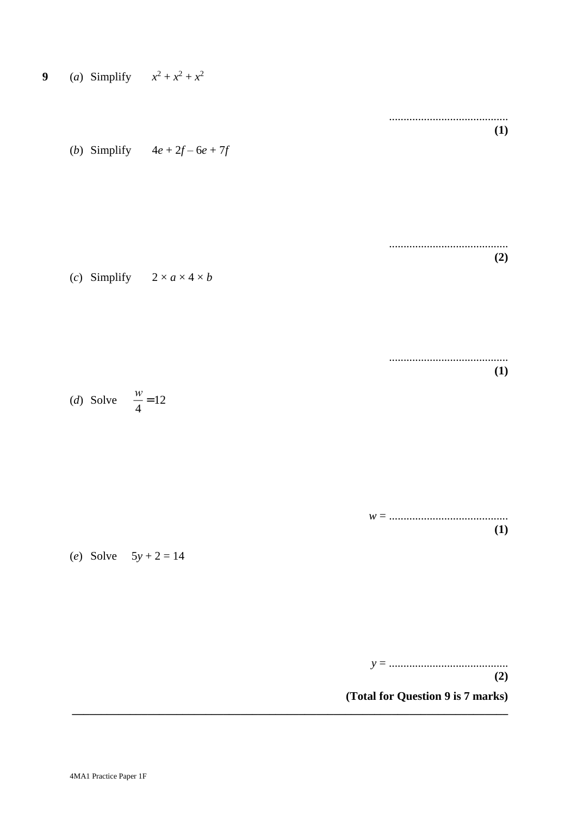

(Total for Question 9 is 7 marks)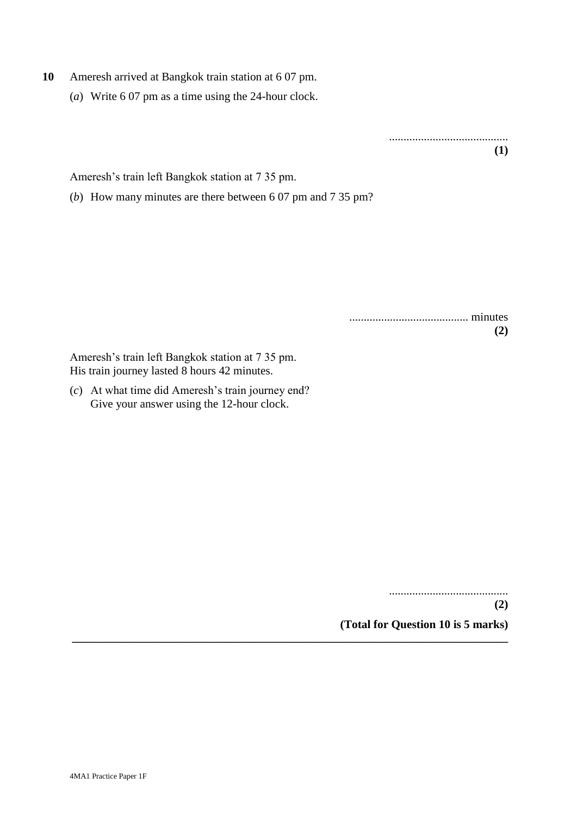- **10** Ameresh arrived at Bangkok train station at 6 07 pm.
	- (*a*) Write 6 07 pm as a time using the 24-hour clock.

......................................... **(1)**

Ameresh's train left Bangkok station at 7 35 pm.

(*b*) How many minutes are there between 6 07 pm and 7 35 pm?

......................................... minutes **(2)**

Ameresh's train left Bangkok station at 7 35 pm. His train journey lasted 8 hours 42 minutes.

(*c*) At what time did Ameresh's train journey end? Give your answer using the 12-hour clock.

.........................................

**(2) (Total for Question 10 is 5 marks)**

**\_\_\_\_\_\_\_\_\_\_\_\_\_\_\_\_\_\_\_\_\_\_\_\_\_\_\_\_\_\_\_\_\_\_\_\_\_\_\_\_\_\_\_\_\_\_\_\_\_\_\_\_\_\_\_\_\_\_\_\_\_\_\_\_\_\_\_\_\_\_\_\_\_\_\_**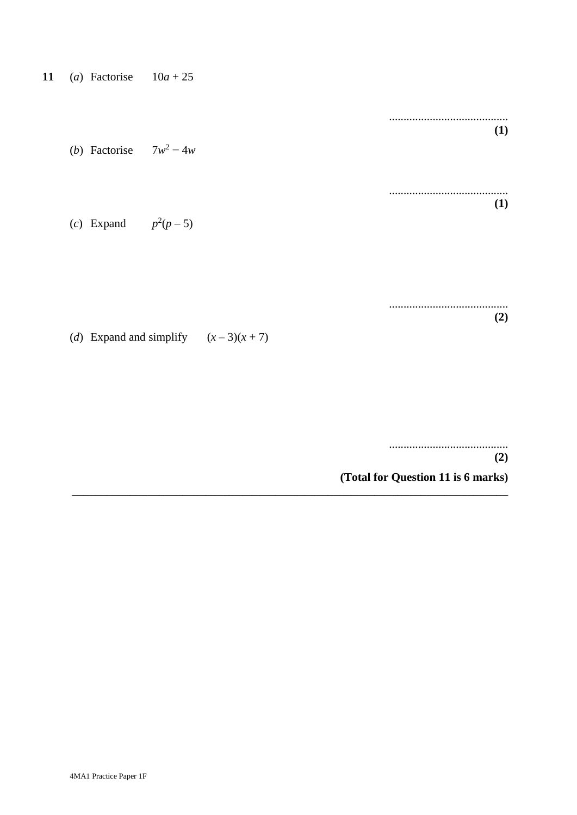| 11 |  | (a) Factorise | $10a + 25$ |
|----|--|---------------|------------|
|----|--|---------------|------------|

| ( <i>b</i> ) Factorise $7w^2 - 4w$            |  | (1) |
|-----------------------------------------------|--|-----|
| (c) Expand $p^2(p-5)$                         |  | (1) |
| ( <i>d</i> ) Expand and simplify $(x-3)(x+7)$ |  | (2) |
|                                               |  | (2) |

(Total for Question 11 is 6 marks)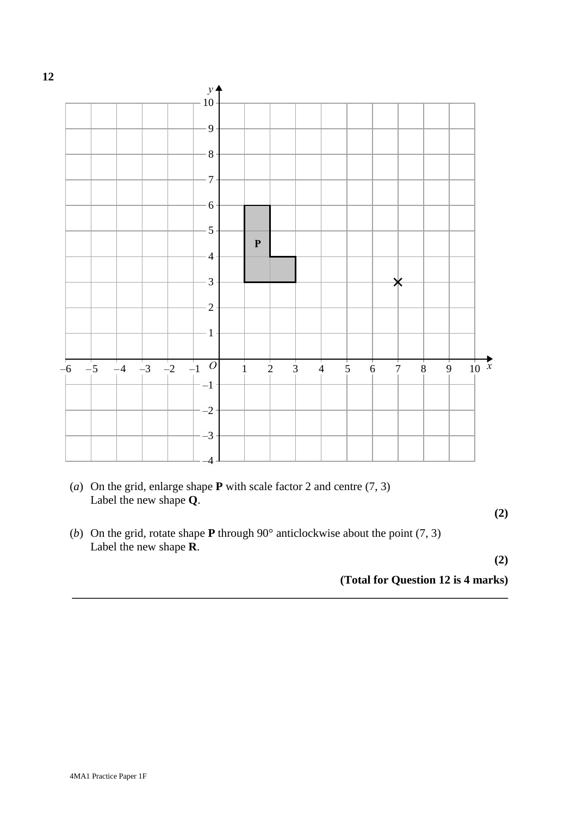

(a) On the grid, enlarge shape **P** with scale factor 2 and centre (7, 3) (*a*) On the grid, enlarge shape **P** with scale factor 2 and centre (7, 3) Label the new shape **Q**. Label the new shape **Q**.

**(2)**

(b) On the grid, rotate shape **P** through 90° anticlockwise about the point (7, 3) (*b*) On the grid, rotate shape **P** through 90° anticlockwise about the point (7, 3) Label the new shape **R**. Label the new shape **R**.

**(2)**

**(Total for Question 15 is 4 marks) (Total for Question 12 is 4 marks) \_\_\_\_\_\_\_\_\_\_\_\_\_\_\_\_\_\_\_\_\_\_\_\_\_\_\_\_\_\_\_\_\_\_\_\_\_\_\_\_\_\_\_\_\_\_\_\_\_\_\_\_\_\_\_\_\_\_\_\_\_\_\_\_\_\_\_\_\_\_\_\_\_\_\_**

**12**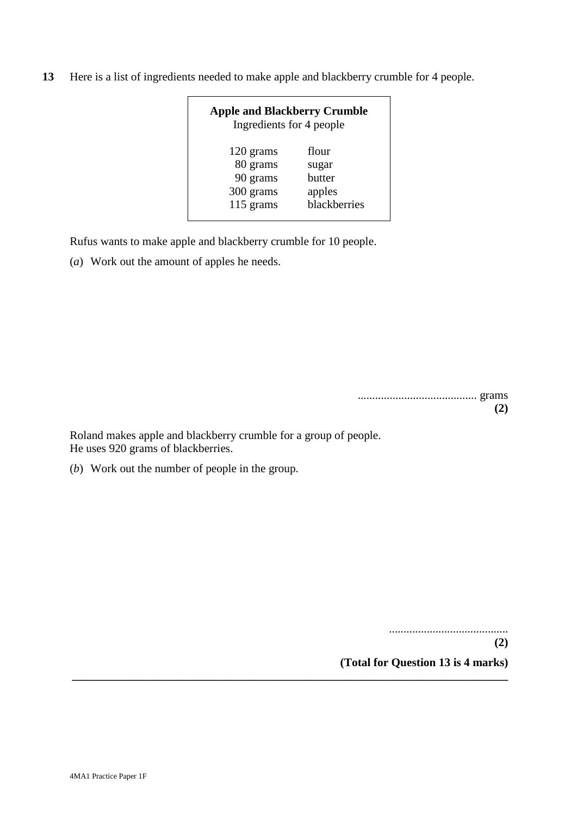**13** Here is a list of ingredients needed to make apple and blackberry crumble for 4 people.

| <b>Apple and Blackberry Crumble</b><br>Ingredients for 4 people |              |  |  |  |  |
|-----------------------------------------------------------------|--------------|--|--|--|--|
| 120 grams                                                       | flour        |  |  |  |  |
| 80 grams                                                        | sugar        |  |  |  |  |
| 90 grams                                                        | butter       |  |  |  |  |
| 300 grams                                                       | apples       |  |  |  |  |
| 115 grams                                                       | blackberries |  |  |  |  |

**\_\_\_\_\_\_\_\_\_\_\_\_\_\_\_\_\_\_\_\_\_\_\_\_\_\_\_\_\_\_\_\_\_\_\_\_\_\_\_\_\_\_\_\_\_\_\_\_\_\_\_\_\_\_\_\_\_\_\_\_\_\_\_\_\_\_\_\_\_\_\_\_\_\_\_**

Rufus wants to make apple and blackberry crumble for 10 people.

(*a*) Work out the amount of apples he needs.

| 7 |
|---|

Roland makes apple and blackberry crumble for a group of people. He uses 920 grams of blackberries.

(*b*) Work out the number of people in the group.

.........................................

**(2)**

**(Total for Question 13 is 4 marks)**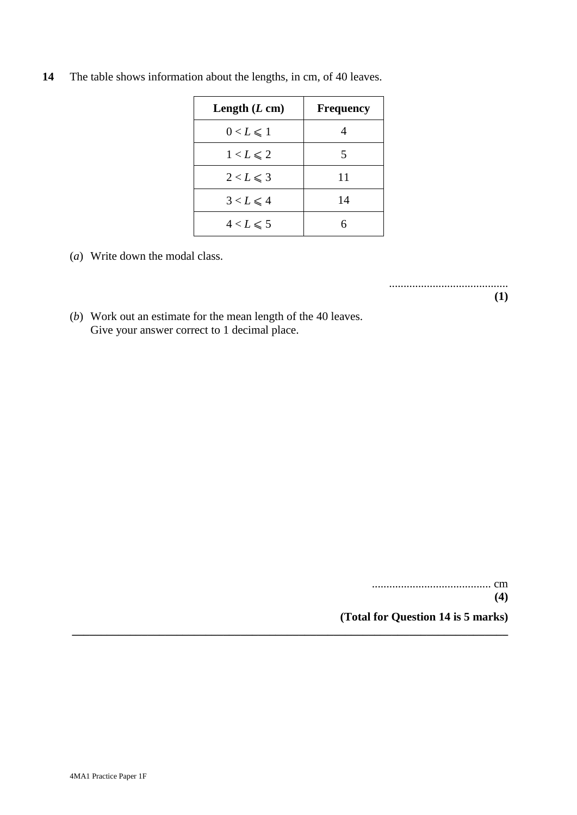| Length $(L \text{ cm})$ | <b>Frequency</b> |
|-------------------------|------------------|
| $0 < L \leq 1$          |                  |
| $1 < L \leqslant 2$     |                  |
| $2 < L \leqslant 3$     | 11               |
| $3 < L \leqslant 4$     | 14               |
| $4 < L \leqslant 5$     | 6                |

**\_\_\_\_\_\_\_\_\_\_\_\_\_\_\_\_\_\_\_\_\_\_\_\_\_\_\_\_\_\_\_\_\_\_\_\_\_\_\_\_\_\_\_\_\_\_\_\_\_\_\_\_\_\_\_\_\_\_\_\_\_\_\_\_\_\_\_\_\_\_\_\_\_\_\_**

**14** The table shows information about the lengths, in cm, of 40 leaves.

(*a*) Write down the modal class.

.........................................

**(1)**

(*b*) Work out an estimate for the mean length of the 40 leaves. Give your answer correct to 1 decimal place.

> ......................................... cm **(4) (Total for Question 14 is 5 marks)**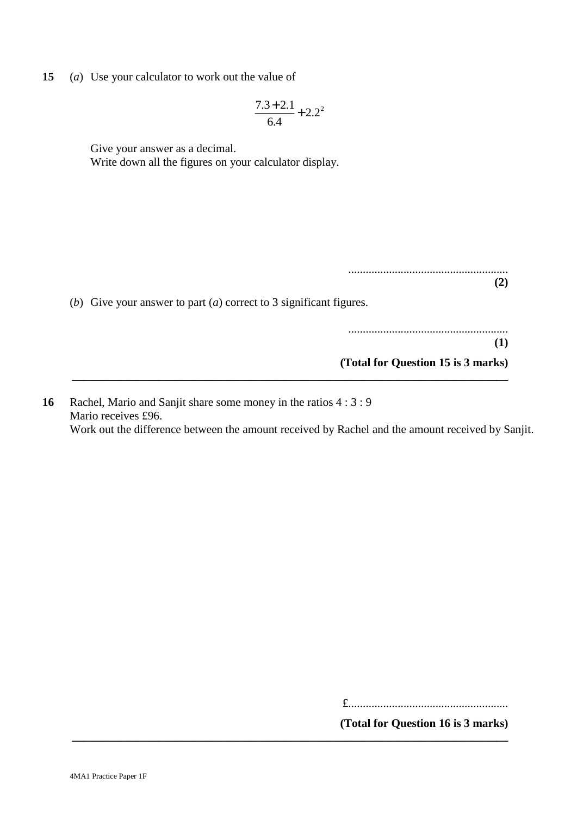**15** (*a*) Use your calculator to work out the value of

$$
\frac{7.3 + 2.1}{6.4} + 2.2^2
$$

Give your answer as a decimal.

Write down all the figures on your calculator display.

| (b) Give your answer to part (a) correct to 3 significant figures. |
|--------------------------------------------------------------------|
|                                                                    |
|                                                                    |
|                                                                    |
| (Total for Question 15 is 3 marks)                                 |
|                                                                    |

**16** Rachel, Mario and Sanjit share some money in the ratios 4 : 3 : 9 Mario receives £96. Work out the difference between the amount received by Rachel and the amount received by Sanjit.

**\_\_\_\_\_\_\_\_\_\_\_\_\_\_\_\_\_\_\_\_\_\_\_\_\_\_\_\_\_\_\_\_\_\_\_\_\_\_\_\_\_\_\_\_\_\_\_\_\_\_\_\_\_\_\_\_\_\_\_\_\_\_\_\_\_\_\_\_\_\_\_\_\_\_\_**

£.......................................................

**(Total for Question 16 is 3 marks)**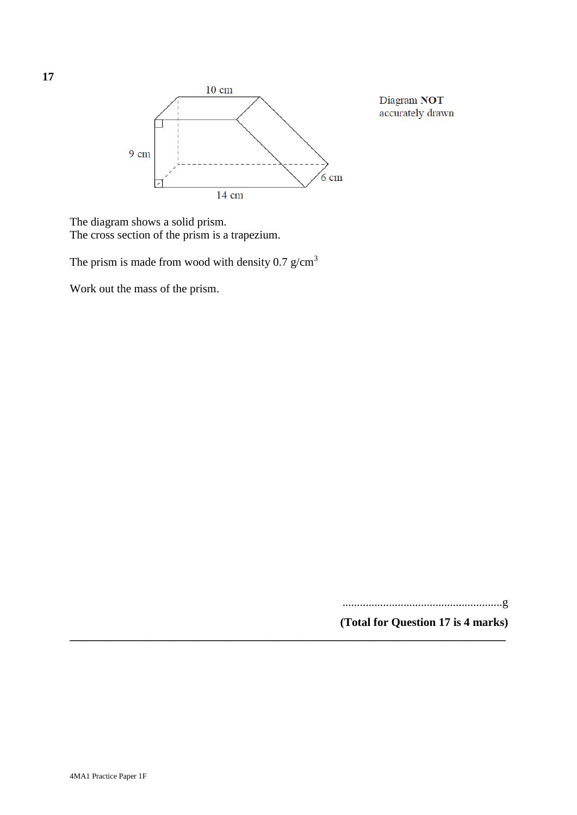

The diagram shows a solid prism. The cross section of the prism is a trapezium.

The prism is made from wood with density  $0.7$  g/cm<sup>3</sup>

Work out the mass of the prism.

.......................................................g

Diagram NOT accurately drawn

**(Total for Question 17 is 4 marks)**

**\_\_\_\_\_\_\_\_\_\_\_\_\_\_\_\_\_\_\_\_\_\_\_\_\_\_\_\_\_\_\_\_\_\_\_\_\_\_\_\_\_\_\_\_\_\_\_\_\_\_\_\_\_\_\_\_\_\_\_\_\_\_\_\_\_\_\_\_\_\_\_\_\_\_\_**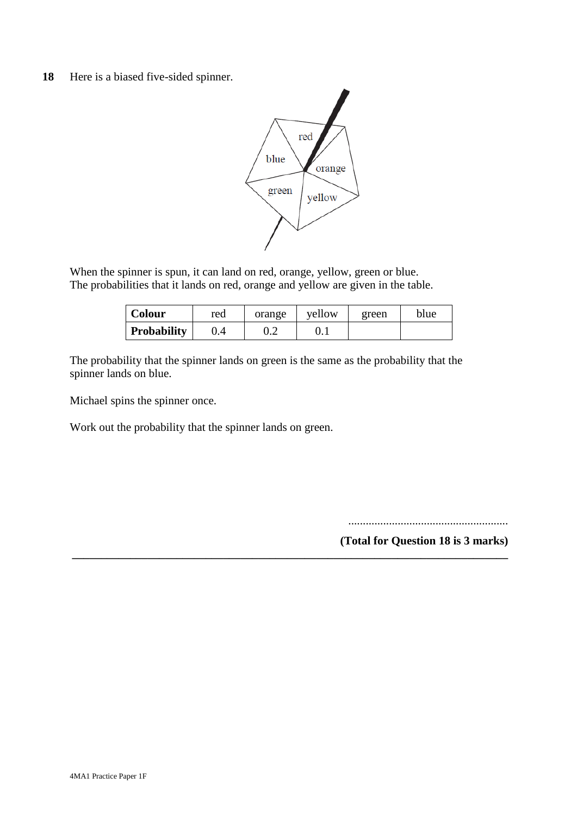### **18** Here is a biased five-sided spinner.



When the spinner is spun, it can land on red, orange, yellow, green or blue. The probabilities that it lands on red, orange and yellow are given in the table.

| <b>Colour</b> | red | orange | yellow | green | blue |
|---------------|-----|--------|--------|-------|------|
| Probability   |     | J.Z    | U.I    |       |      |

**\_\_\_\_\_\_\_\_\_\_\_\_\_\_\_\_\_\_\_\_\_\_\_\_\_\_\_\_\_\_\_\_\_\_\_\_\_\_\_\_\_\_\_\_\_\_\_\_\_\_\_\_\_\_\_\_\_\_\_\_\_\_\_\_\_\_\_\_\_\_\_\_\_\_\_**

The probability that the spinner lands on green is the same as the probability that the spinner lands on blue.

Michael spins the spinner once.

Work out the probability that the spinner lands on green.

.......................................................

**(Total for Question 18 is 3 marks)**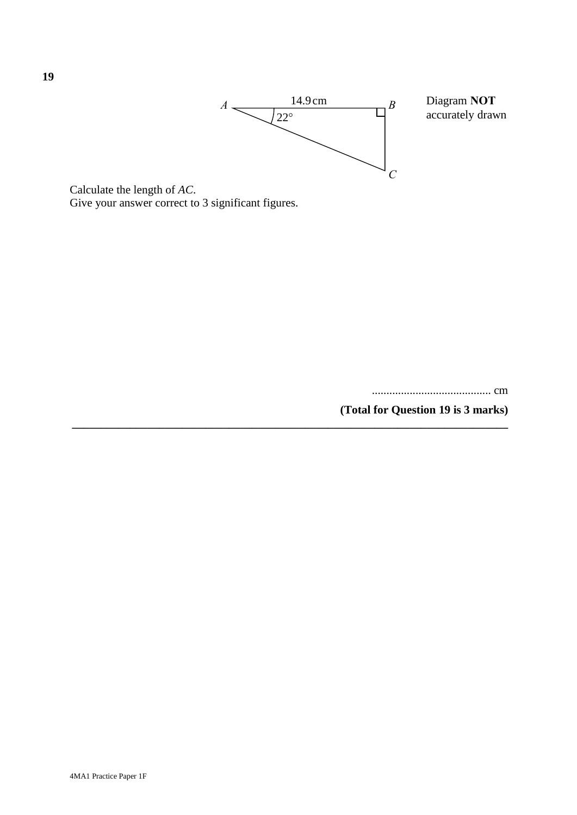

**\_\_\_\_\_\_\_\_\_\_\_\_\_\_\_\_\_\_\_\_\_\_\_\_\_\_\_\_\_\_\_\_\_\_\_\_\_\_\_\_\_\_\_\_\_\_\_\_\_\_\_\_\_\_\_\_\_\_\_\_\_\_\_\_\_\_\_\_\_\_\_\_\_\_\_**

are and the rength of *AC*. Give your answer correct to 3 significant figures. Calculate the length of *AC*. Give your answer correct to 3 significant figures.

......................................... cm

......................................... cm

**(Total for Question 19 is 3 marks)**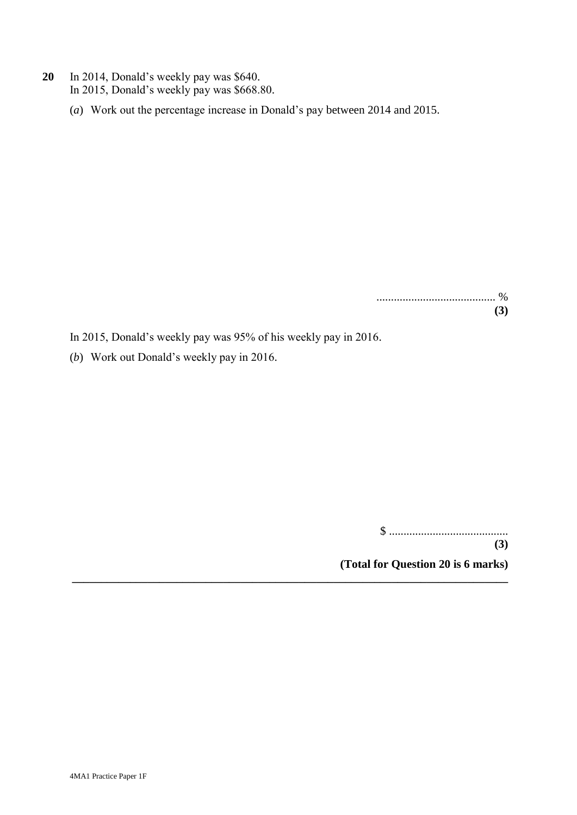- **20** In 2014, Donald's weekly pay was \$640. In 2015, Donald's weekly pay was \$668.80.
	- (*a*) Work out the percentage increase in Donald's pay between 2014 and 2015.

......................................... % **(3)**

In 2015, Donald's weekly pay was 95% of his weekly pay in 2016.

**\_\_\_\_\_\_\_\_\_\_\_\_\_\_\_\_\_\_\_\_\_\_\_\_\_\_\_\_\_\_\_\_\_\_\_\_\_\_\_\_\_\_\_\_\_\_\_\_\_\_\_\_\_\_\_\_\_\_\_\_\_\_\_\_\_\_\_\_\_\_\_\_\_\_\_**

(*b*) Work out Donald's weekly pay in 2016.

\$ .........................................

**(3)**

**(Total for Question 20 is 6 marks)**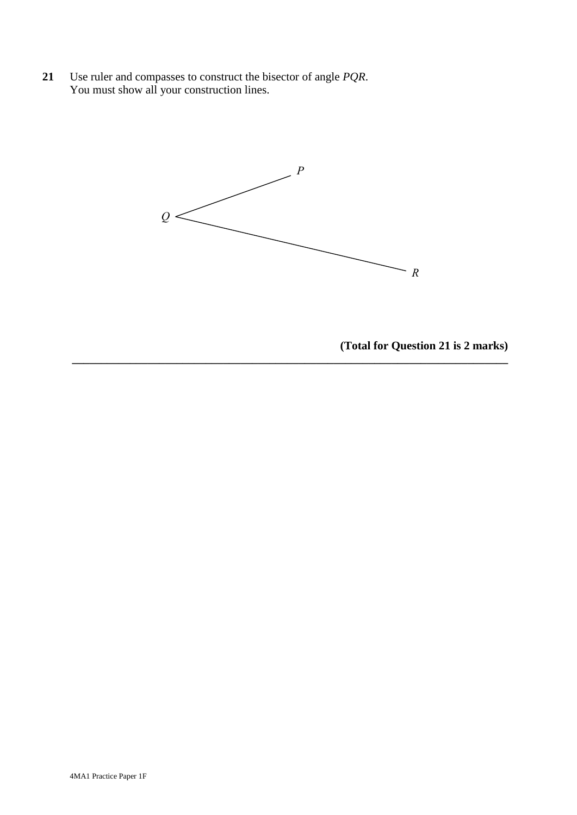**21** Use ruler and compasses to construct the bisector of angle *PQR*. You must show all your construction lines. **21** Use ruler and compasses to construct the bisector of angle *PQR*. You must show all your construction line



**\_\_\_\_\_\_\_\_\_\_\_\_\_\_\_\_\_\_\_\_\_\_\_\_\_\_\_\_\_\_\_\_\_\_\_\_\_\_\_\_\_\_\_\_\_\_\_\_\_\_\_\_\_\_\_\_\_\_\_\_\_\_\_\_\_\_\_\_\_\_\_\_\_\_\_**

**(Total for Question 21 is 2 marks)**

**(Total for Question 21 is 2 marks)**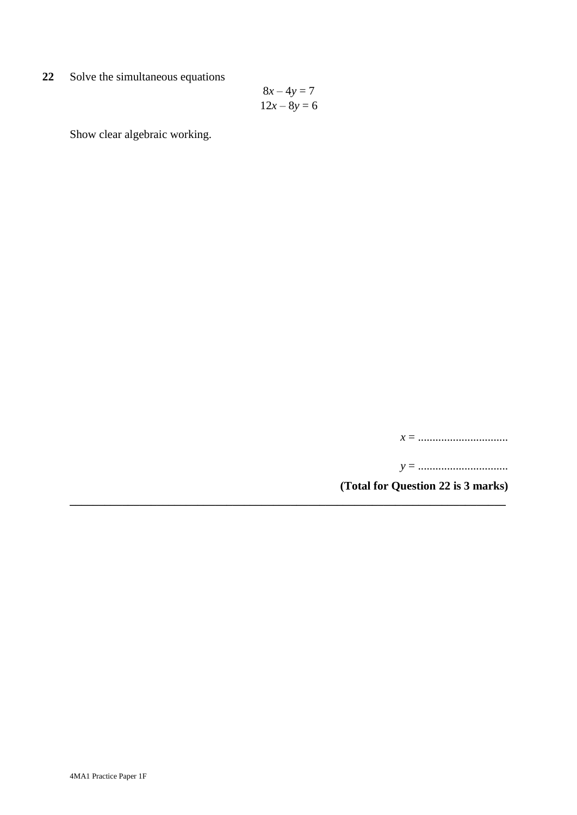**22** Solve the simultaneous equations

$$
8x - 4y = 7
$$

$$
12x - 8y = 6
$$

**\_\_\_\_\_\_\_\_\_\_\_\_\_\_\_\_\_\_\_\_\_\_\_\_\_\_\_\_\_\_\_\_\_\_\_\_\_\_\_\_\_\_\_\_\_\_\_\_\_\_\_\_\_\_\_\_\_\_\_\_\_\_\_\_\_\_\_\_\_\_\_\_\_\_\_**

Show clear algebraic working.

*x* = ...............................

*y* = ...............................

**(Total for Question 22 is 3 marks)**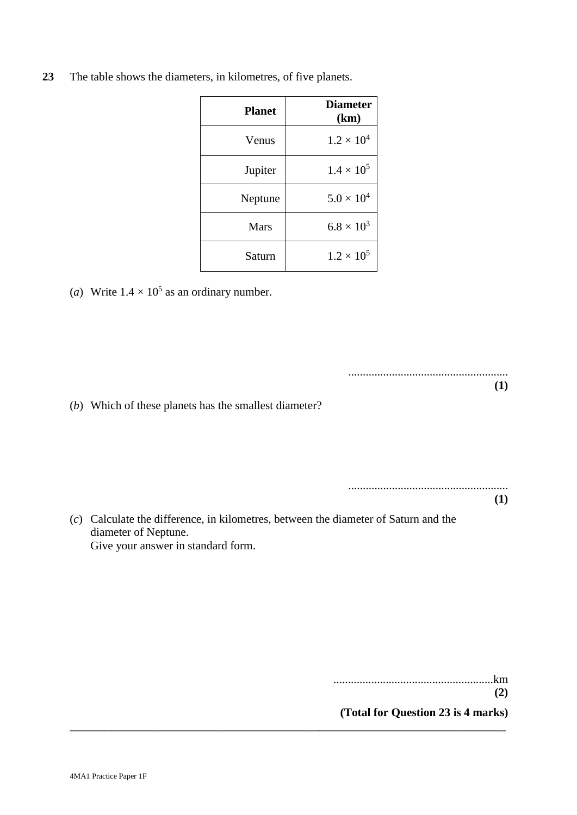| <b>Planet</b> | <b>Diameter</b><br>(km) |
|---------------|-------------------------|
| Venus         | $1.2 \times 10^{4}$     |
| Jupiter       | $1.4 \times 10^{5}$     |
| Neptune       | $5.0 \times 10^{4}$     |
| <b>Mars</b>   | $6.8 \times 10^3$       |
| Saturn        | $1.2 \times 10^{5}$     |

**23** The table shows the diameters, in kilometres, of five planets.

(*a*) Write  $1.4 \times 10^5$  as an ordinary number.

(*b*) Which of these planets has the smallest diameter?

.......................................................

**(1)**

(*c*) Calculate the difference, in kilometres, between the diameter of Saturn and the diameter of Neptune. Give your answer in standard form.

**\_\_\_\_\_\_\_\_\_\_\_\_\_\_\_\_\_\_\_\_\_\_\_\_\_\_\_\_\_\_\_\_\_\_\_\_\_\_\_\_\_\_\_\_\_\_\_\_\_\_\_\_\_\_\_\_\_\_\_\_\_\_\_\_\_\_\_\_\_\_\_\_\_\_\_**

.......................................................km

**(2)**

**(Total for Question 23 is 4 marks)**